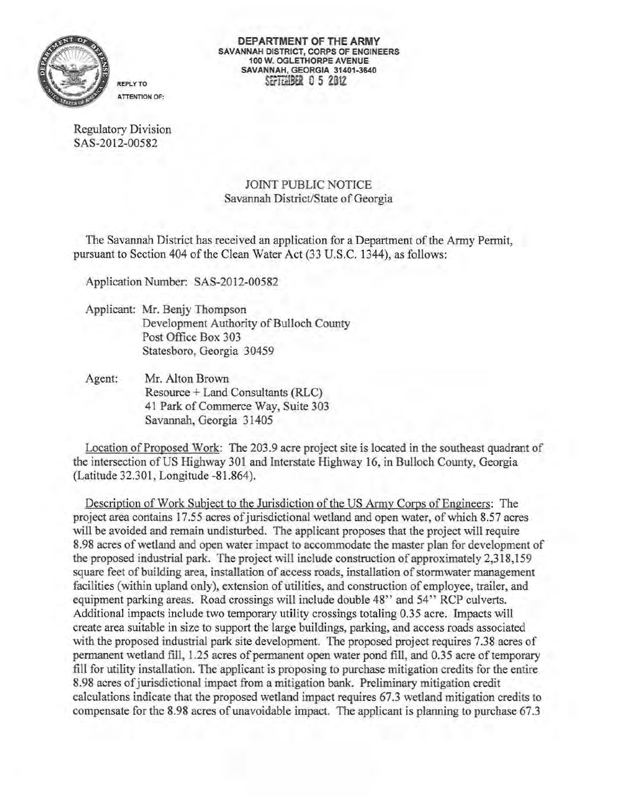

**DEPARTMENT OF THE ARMY**  SAVANNAH DISTRICT, CORPS OF ENGINEERS 100 W. OGLETHORPE AVENUE SAVANNAH, GEORGIA 31401-3640 SEFIT.MBFi 0 5 2012

Regulatory Division SAS-2012-00582

# JOINT PUBLIC NOTICE Savannah District/State of Georgia

The Savannah District has received an application for a Department ofthe Army Permit, pursuant to Section 404 of the Clean Water Act (33 U.S.C. 1344), as follows:

Application Number: SAS-2012-00582

- Applicant: Mr. Benjy Thompson Development Authority of Bulloch County Post Office Box 303 Statesboro, Georgia 30459
- Agent: Mr. Alton Brown Resource + Land Consultants (RLC) 41 Park of Commerce Way, Suite 303 Savannah, Georgia 31405

Location of Proposed Work: The 203.9 acre project site is located in the southeast quadrant of the intersection ofUS Highway 301 and Interstate Highway 16, in Bulloch County, Georgia (Latitude 32.301, Longitude -81.864).

Description of Work Subject to the Jurisdiction of the US Army Corps of Engineers: The project area contains 17.55 acres of jurisdictional wetland and open water, of which 8.57 acres will be avoided and remain undisturbed. The applicant proposes that the project will require 8.98 acres of wetland and open water impact to accommodate the master plan for development of the proposed industrial park. The project will include construction of approximately 2,318,159 square feet of building area, installation of access roads, installation of stormwater management facilities (within upland only), extension of utilities, and construction of employee, trailer, and equipment parking areas. Road crossings will include double 48" and 54" RCP culverts. Additional impacts include two temporary utility crossings totaling 0.35 acre. Impacts will create area suitable in size to support the large buildings, parking, and access roads associated with the proposed industrial park site development. The proposed project requires 7.38 acres of permanent wetland fill, 1.25 acres of permanent open water pond fill, and 0.35 acre of temporary fill for utility installation. The applicant is proposing to purchase mitigation credits for the entire 8.98 acres ofjurisdictional impact from a mitigation bank. Preliminary mitigation credit calculations indicate that the proposed wetland impact requires 67.3 wetland mitigation credits to compensate for the 8.98 acres of unavoidable impact. The applicant is planning to purchase 67.3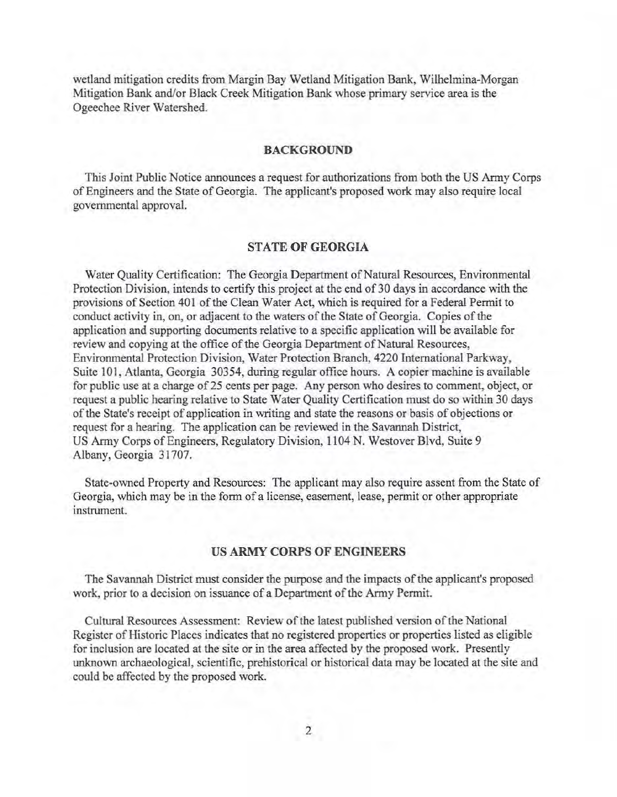wetland mitigation credits from Margin Bay Wetland Mitigation Bank, Wilhelmina-Morgan Mitigation Bank and/or Black Creek Mitigation Bank whose primary service area is the Ogeechee River Watershed.

#### BACKGROUND

This Joint Public Notice announces a request for authorizations from both the US Army Corps of Engineers and the State of Georgia. The applicant's proposed work may also require local governmental approval.

### STATE OF GEORGIA

Water Quality Certification: The Georgia Department of Natural Resources, Environmental Protection Division, intends to certify this project at the end of 30 days in accordance with the provisions of Section 401 of the Clean Water Act, which is required for a Federal Permit to conduct activity in, on, or adjacent to the waters of the State of Georgia. Copies of the application and supporting documents relative to a specific application will be available for review and copying at the office of the Georgia Department of Natural Resources, Environmental Protection Division, Water Protection Branch, 4220 International Parkway, Suite 101, Atlanta, Georgia 30354, during regular office hours. A copier machine is available for public use at a charge of 25 cents per page. Any person who desires to comment, object, or request a public hearing relative to State Water Quality Certification must do so within 30 days of the State's receipt of application in writing and state the reasons or basis of objections or request for a hearing. The application can be reviewed in the Savannah District, US Army Corps of Engineers, Regulatory Division, 1104 N. Westover Blvd, Suite 9 Albany, Georgia 31707.

State-owned Property and Resources: The applicant may also require assent from the State of Georgia, which may be in the form of a license, easement, lease, permit or other appropriate instrument.

## US ARMY CORPS OF ENGINEERS

The Savannah District must consider the purpose and the impacts of the applicant's proposed work, prior to a decision on issuance of a Department of the Army Permit.

Cultural Resources Assessment: Review of the latest published version of the National Register of Historic Places indicates that no registered properties or properties listed as eligible for inclusion are located at the site or in the area affected by the proposed work. Presently unknown archaeological, scientific, prehistorical or historical data may be located at the site and could be affected by the proposed work.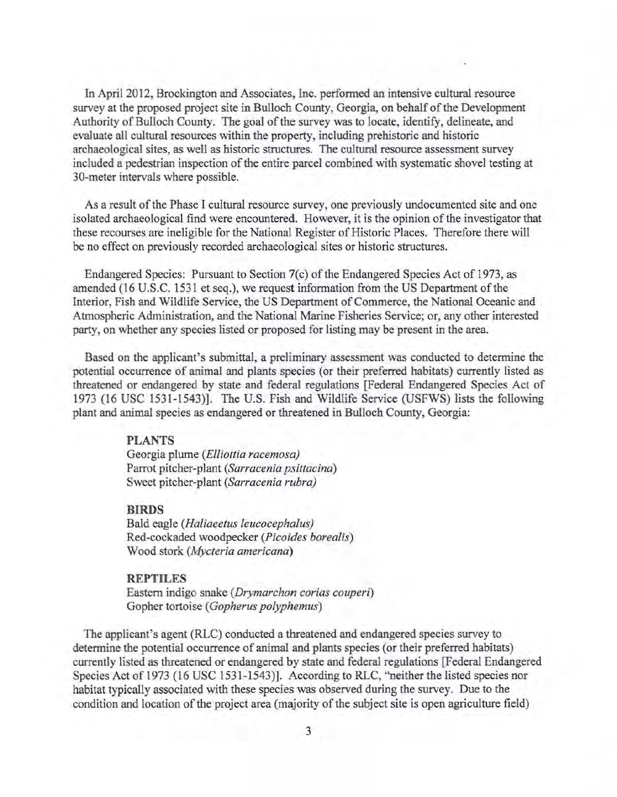In April 2012, Brockington and Associates, Inc. performed an intensive cultural resource survey at the proposed project site in Bulloch County, Georgia, on behalf of the Development Authority of Bulloch County. The goal of the survey was to locate, identify, delineate, and evaluate all cultural resources within the property, including prehistoric and historic archaeological sites, as well as historic structures. The cultural resource assessment survey included a pedestrian inspection of the entire parcel combined with systematic shovel testing at 30-meter intervals where possible.

As a result of the Phase I cultural resource survey, one previously undocumented site and one isolated archaeological find were encountered. However, it is the opinion of the investigator that these recourses are ineligible for the National Register of Historic Places. Therefore there will be no effect on previously recorded archaeological sites or historic structures.

Endangered Species: Pursuant to Section 7(c) of the Endangered Species Act of 1973, as amended (16 U.S.C. 1531 et seq.), we request information from the US Department of the Interior, Fish and Wildlife Service, the US Department of Commerce, the National Oceanic and Atmospheric Administration, and the National Marine Fisheries Service; or, any other interested party, on whether any species listed or proposed for listing may be present in the area.

Based on the applicant's submittal, a preliminary assessment was conducted to determine the potential occurrence of animal and plants species (or their preferred habitats) currently listed as threatened or endangered by state and federal regulations [Federal Endangered Species Act of 1973 (16 USC 1531-1543)]. The U.S. Fish and Wildlife Service (USFWS) lists the following plant and animal species as endangered or threatened in Bulloch County, Georgia:

#### **PLANTS**

Georgia plume *(Elliottia racemosa)* Parrot pitcher-plant *(Sarracenia psittacina)* Sweet pitcher-plant *(Sarracenia rubra)* 

#### **BIRDS**

Bald eagle *(Haliaeetus leucocephalus)* Red-cockaded woodpecker *(Picoides borealis)* Wood stork *(Mycteria americana)* 

### **REPTILES**

Eastern indigo snake *(Drymarchon corias couperi)* Gopher tortoise *(Gopherus polyphemus)* 

The applicant's agent (RLC) conducted a threatened and endangered species survey to determine the potential occurrence of animal and plants species (or their preferred habitats) currently listed as threatened or endangered by state and federal regulations [Federal Endangered Species Act of 1973 (16 USC 1531-1543)]. According to RLC, "neither the listed species nor habitat typically associated with these species was observed during the survey. Due to the condition and location of the project area (majority of the subject site is open agriculture fteld)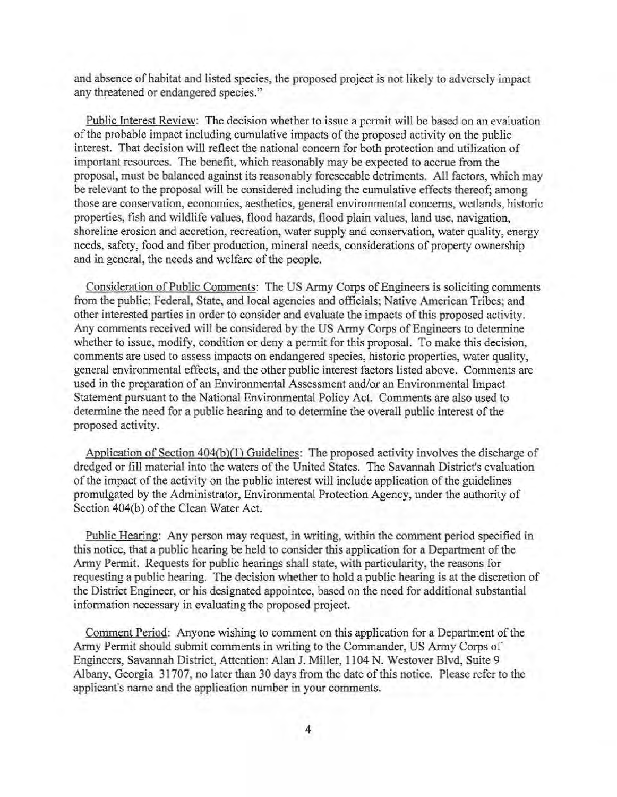and absence of habitat and listed species, the proposed project is not likely to adversely impact any threatened or endangered species."

Public Interest Review: The decision whether to issue a permit will be based on an evaluation of the probable impact including cumulative impacts of the proposed activity on the public interest. That decision will reflect the national concern for both protection and utilization of important resources. The benefit, which reasonably may be expected to accrue from the proposal, must be balanced against its reasonably foreseeable detriments. All factors, which may be relevant to the proposal will be considered including the cumulative effects thereof; among those are conservation, economics, aesthetics, general environmental concerns, wetlands, historic properties, fish and wildlife values, flood hazards, flood plain values, land use, navigation, shoreline erosion and accretion, recreation, water supply and conservation, water quality, energy needs, safety, food and fiber production, mineral needs, considerations of property ownership and in general, the needs and welfare of the people.

Consideration of Public Comments: The US Army Corps of Engineers is soliciting comments from the public; Federal, State, and local agencies and officials; Native American Tribes; and other interested parties in order to consider and evaluate the impacts of this proposed activity. Any comments received will be considered by the US Army Corps of Engineers to determine whether to issue, modify, condition or deny a permit for this proposal. To make this decision, comments are used to assess impacts on endangered species, historic properties, water quality, general environmental effects, and the other public interest factors listed above. Comments are used in the preparation of an Environmental Assessment and/or an Environmental Impact Statement pursuant to the National Environmental Policy Act. Comments are also used to determine the need for a public hearing and to determine the overall public interest of the proposed activity.

Application of Section 404(b)(l) Guidelines: The proposed activity involves the discharge of dredged or fill material into the waters of the United States. The Savannah District's evaluation of the impact of the activity on the public interest will include application of the guidelines promulgated by the Administrator, Environmental Protection Agency, under the authority of Section 404(b) of the Clean Water Act.

Public Hearing: Any person may request, in writing, within the comment period specified in this notice, that a public hearing be held to consider this application for a Department of the Army Permit. Requests for public hearings shall state, with particularity, the reasons for requesting a public hearing. The decision whether to hold a public hearing is at the discretion of the District Engineer, or his designated appointee, based on the need for additional substantial information necessary in evaluating the proposed project.

Comment Period: Anyone wishing to comment on this application for a Department of the Army Permit should submit comments in writing to the Commander, US Army Corps of Engineers, Savannah District, Attention: Alan J. Miller, 1104 N. Westover Blvd, Suite 9 Albany, Georgia 31707, no later than 30 days from the date of this notice. Please refer to the applicant's name and the application number in your comments.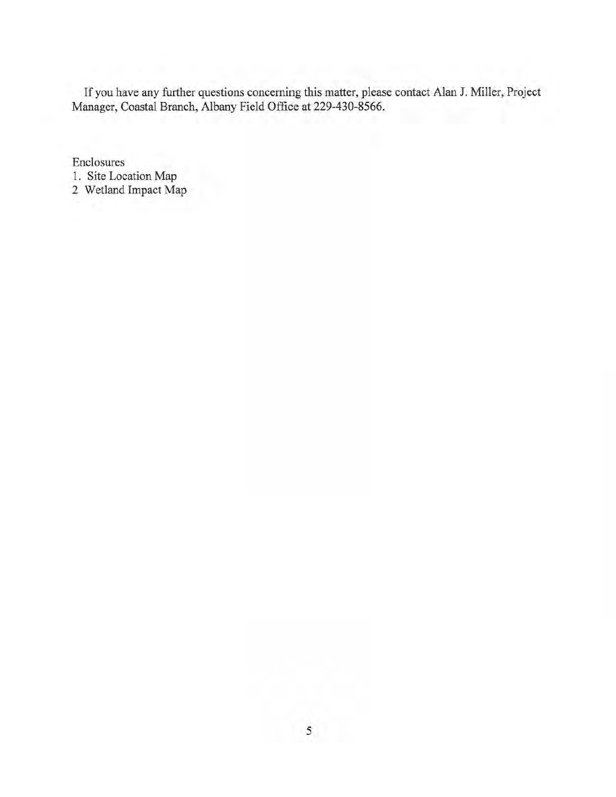If you have any further questions concerning this matter, please contact Alan J. Miller, Project Manager, Coastal Branch, Albany Field Office at 229-430-8566.

**Enclosures** 

- 1. Site Location Map
- 2 Wetland Impact Map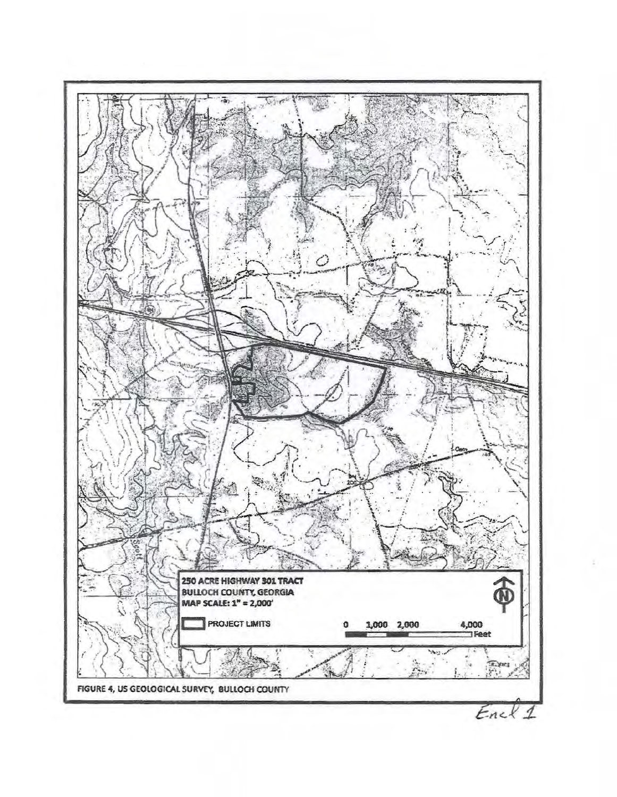